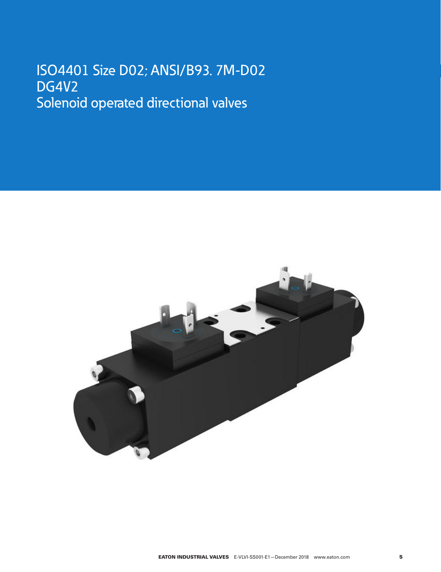# ISO4401 Size D02; ANSI/B93. 7M-D02 DG4V2 Solenoid operated directional valves

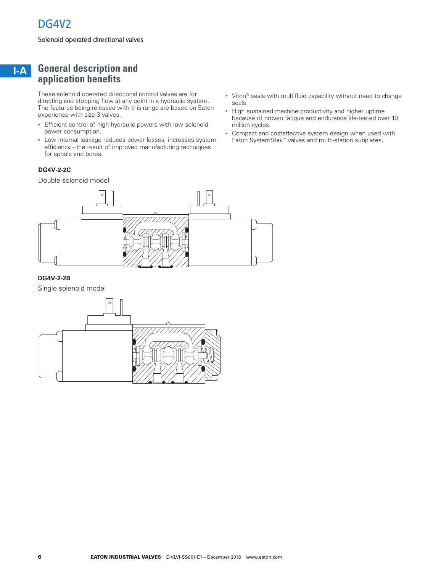# DG4V<sub>2</sub>

Solenoid operated directional valves

#### **I-A General description and application benefits**

These solenoid operated directional control valves are for directing and stopping flow at any point in a hydraulic system . The features being released with this range are based on Eaton experience with size 3 valves.

- Efficient control of high hydraulic powers with low solenoid power consumption.
- Low internal leakage reduces power losses, increases system efficiency - the result of improved manufacturing techniques for spools and bores.

### **DG4V-2-2C**

Double solenoid model



### **DG4V-2-2B**

Single solenoid model



- Viton® seals with multifluid capability without need to change seals.
- High sustained machine productivity and higher uptime because of proven fatigue and endurance life-tested over 10 million cycles.
- Compact and costeffective system design when used with Eaton SystemStak™ valves and multi-station subplates .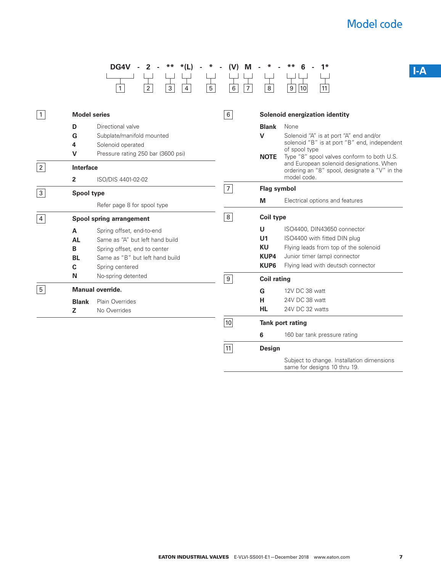**I-A**

|                |                         | DG4V<br>$***$<br>$*(L)$                                    |                           |                                | $1*$                                                                                      |  |  |
|----------------|-------------------------|------------------------------------------------------------|---------------------------|--------------------------------|-------------------------------------------------------------------------------------------|--|--|
|                |                         |                                                            |                           |                                |                                                                                           |  |  |
|                |                         | $\overline{5}$<br>3<br>4<br>$\mathbf{1}$<br>$\overline{2}$ | $\,6\,$<br>$\overline{7}$ | 8                              | $\boldsymbol{9}$<br>10<br>11                                                              |  |  |
|                |                         |                                                            |                           |                                |                                                                                           |  |  |
| $\vert$ 1      | <b>Model series</b>     |                                                            | $6\phantom{.}$            | Solenoid energization identity |                                                                                           |  |  |
|                | D                       | Directional valve                                          |                           | <b>Blank</b>                   | None                                                                                      |  |  |
|                | G                       | Subplate/manifold mounted                                  |                           | $\mathbf v$                    | Solenoid "A" is at port "A" end and/or                                                    |  |  |
|                | 4                       | Solenoid operated                                          |                           |                                | solenoid "B" is at port "B" end, independent                                              |  |  |
|                | $\mathsf{V}$            | Pressure rating 250 bar (3600 psi)                         |                           | <b>NOTE</b>                    | of spool type<br>Type "8" spool valves conform to both U.S.                               |  |  |
| $\overline{2}$ |                         | Interface                                                  |                           |                                | and European solenoid designations. When<br>ordering an "8" spool, designate a "V" in the |  |  |
|                | $\overline{2}$          | ISO/DIS 4401-02-02                                         |                           |                                | model code.                                                                               |  |  |
| $\mathbf{3}$   | <b>Spool type</b>       | $\overline{7}$<br><b>Flag symbol</b>                       |                           |                                |                                                                                           |  |  |
|                |                         | Refer page 8 for spool type                                |                           | М                              | Electrical options and features                                                           |  |  |
| $\overline{4}$ |                         | Spool spring arrangement                                   |                           | <b>Coil type</b>               |                                                                                           |  |  |
|                | A                       | Spring offset, end-to-end                                  |                           | U                              | ISO4400, DIN43650 connector                                                               |  |  |
|                | <b>AL</b>               | Same as "A" but left hand build                            |                           | U <sub>1</sub>                 | ISO4400 with fitted DIN plug                                                              |  |  |
|                | B                       | Spring offset, end to center                               |                           | <b>KU</b>                      | Flying leads from top of the solenoid                                                     |  |  |
|                | <b>BL</b>               | Same as "B" but left hand build                            |                           | <b>KUP4</b>                    | Junior timer (amp) connector                                                              |  |  |
|                | $\mathbf c$             | Spring centered                                            |                           | <b>KUP6</b>                    | Flying lead with deutsch connector                                                        |  |  |
|                | N<br>No-spring detented |                                                            | $\overline{9}$            | <b>Coil rating</b>             |                                                                                           |  |  |
| $\sqrt{5}$     |                         | <b>Manual override.</b>                                    |                           | G                              | 12V DC 38 watt                                                                            |  |  |
|                | <b>Blank</b>            | <b>Plain Overrides</b>                                     |                           | н                              | 24V DC 38 watt                                                                            |  |  |
|                | Z                       | No Overrides                                               |                           | <b>HL</b>                      | 24V DC 32 watts                                                                           |  |  |
|                |                         |                                                            | 10                        | <b>Tank port rating</b>        |                                                                                           |  |  |
|                |                         |                                                            |                           | 6                              | 160 bar tank pressure rating                                                              |  |  |
|                |                         |                                                            | 11                        | <b>Design</b>                  |                                                                                           |  |  |
|                |                         |                                                            |                           |                                | Subject to change. Installation dimensions<br>same for designs 10 thru 19.                |  |  |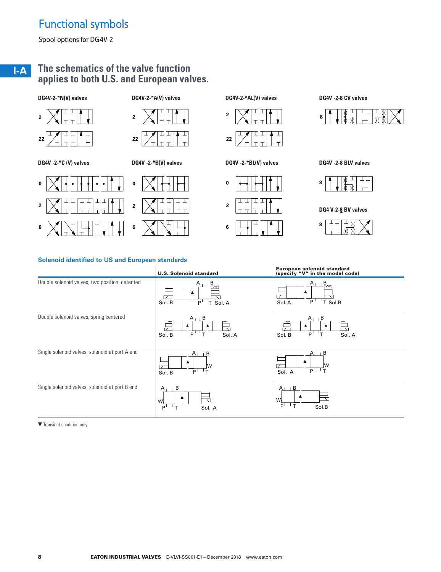# Functional symbols

Spool options for DG4V-2

#### **I-A The schematics of the valve function applies to both U.S. and European valves.**



#### **Solenoid identified to US and European standards**

|                                                | <b>U.S. Solenoid standard</b>                                                      | European solenoid standard<br>(specify "V" in the model code)        |
|------------------------------------------------|------------------------------------------------------------------------------------|----------------------------------------------------------------------|
| Double solenoid valves, two position, detented | பூ<br>A<br>P <sup>1</sup><br>ŀт<br>Sol. A<br>Sol. B                                | $A_{\perp\perp}$ $R_{\rm w}$<br>$P^{\perp}$<br>T<br>Sol.B<br>Sol. A  |
| Double solenoid valves, spring centered        | $A_{1}$ B<br>$\blacktriangle$<br>┍<br>$P^{\perp}$ <sup>T</sup><br>Sol. A<br>Sol. B | $A_{1}$ $B$<br>— ا<br>P'<br>Sol. A<br>Sol. B                         |
| Single solenoid valves, solenoid at port A end | A <sub>1</sub><br>B<br>W<br>$\mathsf{L}$<br>P <sup>1</sup><br>Sol. B               | в<br>A <sub>1</sub><br>M<br>$\mathbf{r}$<br>$P^{\perp}$<br>Sol. A    |
| Single solenoid valves, solenoid at port B end | B<br>A <sub>1</sub><br>▲<br>W<br>Sol. A<br>$\mathbf$<br>P                          | $\mathsf{B}$<br>A <sub>1</sub><br>W<br>$\mathbf{\tau}$<br>P<br>Sol.B |

▼Transient condition only.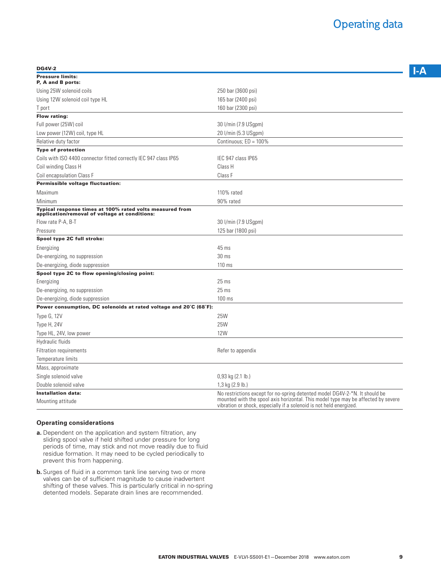| <b>DG4V-2</b>                                                                                             |                                                                                                                                                                                                                                         |
|-----------------------------------------------------------------------------------------------------------|-----------------------------------------------------------------------------------------------------------------------------------------------------------------------------------------------------------------------------------------|
| <b>Pressure limits:</b><br>P, A and B ports:                                                              |                                                                                                                                                                                                                                         |
| Using 25W solenoid coils                                                                                  | 250 bar (3600 psi)                                                                                                                                                                                                                      |
| Using 12W solenoid coil type HL                                                                           | 165 bar (2400 psi)                                                                                                                                                                                                                      |
| T port                                                                                                    | 160 bar (2300 psi)                                                                                                                                                                                                                      |
| <b>Flow rating:</b>                                                                                       |                                                                                                                                                                                                                                         |
| Full power (25W) coil                                                                                     | 30 I/min (7.9 USgpm)                                                                                                                                                                                                                    |
| Low power (12W) coil, type HL                                                                             | 20 I/min (5.3 USgpm)                                                                                                                                                                                                                    |
| Relative duty factor                                                                                      | Continuous; $ED = 100\%$                                                                                                                                                                                                                |
| <b>Type of protection</b>                                                                                 |                                                                                                                                                                                                                                         |
| Coils with ISO 4400 connector fitted correctly IEC 947 class IP65                                         | IEC 947 class IP65                                                                                                                                                                                                                      |
| Coil winding Class H                                                                                      | Class H                                                                                                                                                                                                                                 |
| Coil encapsulation Class F                                                                                | Class F                                                                                                                                                                                                                                 |
| Permissible voltage fluctuation:                                                                          |                                                                                                                                                                                                                                         |
| Maximum                                                                                                   | 110% rated                                                                                                                                                                                                                              |
| Minimum                                                                                                   | 90% rated                                                                                                                                                                                                                               |
| Typical response times at 100% rated volts measured from<br>application/removal of voltage at conditions: |                                                                                                                                                                                                                                         |
| Flow rate P-A, B-T                                                                                        | 30 I/min (7.9 USgpm)                                                                                                                                                                                                                    |
| Pressure                                                                                                  | 125 bar (1800 psi)                                                                                                                                                                                                                      |
| Spool type 2C full stroke:                                                                                |                                                                                                                                                                                                                                         |
| Energizing                                                                                                | 45 ms                                                                                                                                                                                                                                   |
| De-energizing, no suppression                                                                             | 30 ms                                                                                                                                                                                                                                   |
| De-energizing, diode suppression                                                                          | 110 ms                                                                                                                                                                                                                                  |
| Spool type 2C to flow opening/closing point:                                                              |                                                                                                                                                                                                                                         |
| Energizing                                                                                                | 25 <sub>ms</sub>                                                                                                                                                                                                                        |
| De-energizing, no suppression                                                                             | $25 \text{ ms}$                                                                                                                                                                                                                         |
| De-energizing, diode suppression                                                                          | 100 ms                                                                                                                                                                                                                                  |
| Power consumption, DC solenoids at rated voltage and 20°C (68°F):                                         |                                                                                                                                                                                                                                         |
| Type G, 12V                                                                                               | 25W                                                                                                                                                                                                                                     |
| Type H, 24V                                                                                               | 25W                                                                                                                                                                                                                                     |
| Type HL, 24V, low power                                                                                   | <b>12W</b>                                                                                                                                                                                                                              |
| Hydraulic fluids                                                                                          |                                                                                                                                                                                                                                         |
| <b>Filtration requirements</b>                                                                            | Refer to appendix                                                                                                                                                                                                                       |
| Temperature limits                                                                                        |                                                                                                                                                                                                                                         |
| Mass, approximate                                                                                         |                                                                                                                                                                                                                                         |
| Single solenoid valve                                                                                     | $0,93$ kg $(2.1$ lb.)                                                                                                                                                                                                                   |
| Double solenoid valve                                                                                     | $1,3$ kg $(2.9$ lb.)                                                                                                                                                                                                                    |
| <b>Installation data:</b><br>Mounting attitude                                                            | No restrictions except for no-spring detented model DG4V-2-*N. It should be<br>mounted with the spool axis horizontal. This model type may be affected by severe<br>vibration or shock, especially if a solenoid is not held energized. |

#### **Operating considerations**

- **a.** Dependent on the application and system filtration, any sliding spool valve if held shifted under pressure for long periods of time, may stick and not move readily due to fluid residue formation . It may need to be cycled periodically to prevent this from happening.
- **b.** Surges of fluid in a common tank line serving two or more valves can be of sufficient magnitude to cause inadvertent shifting of these valves. This is particularly critical in no-spring detented models. Separate drain lines are recommended.

**I-A**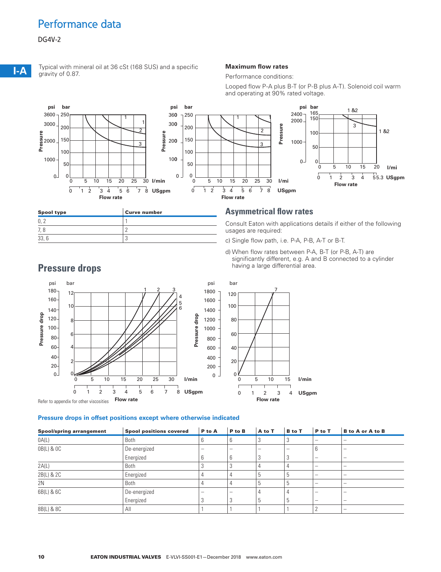## Performance data

### DG4V-2



Typical with mineral oil at 36 cSt (168 SUS) and a specific gravity of 0.87.

#### **Maximum flow rates**

Performance conditions:

Looped flow P-A plus B-T (or P-B plus A-T) . Solenoid coil warm and operating at 90% rated voltage.



| <b>Spool type</b> | Curve number |
|-------------------|--------------|
| 0.1               |              |
| 7, 8              |              |
| 33,               |              |

### **Asymmetrical flow rates**

Consult Eaton with applications details if either of the following usages are required:

- c) Single flow path, i.e. P-A, P-B, A-T or B-T.
- d) When flow rates between P-A, B-T (or P-B, A-T) are significantly different, e.g. A and B connected to a cylinder having a large differential area .

**l/min USgpm**



#### **Pressure drops in offset positions except where otherwise indicated**

| <b>Spool/spring arrangement</b> | <b>Spool positions covered</b> | P to A                   | P to B | A to T                   | <b>B</b> to T            | P to T                   | <b>B</b> to A or A to B  |
|---------------------------------|--------------------------------|--------------------------|--------|--------------------------|--------------------------|--------------------------|--------------------------|
| 0A(L)                           | Both                           | 6                        | 6      | 3                        | 3                        |                          |                          |
| 0B(L) & OC                      | De-energized                   | $\overline{\phantom{a}}$ | -      | $\overline{\phantom{a}}$ | $\overline{\phantom{a}}$ | h                        | $\overline{\phantom{a}}$ |
|                                 | Energized                      | 6                        | 6      | 3                        | 3                        | $\overline{\phantom{a}}$ | $\overline{\phantom{a}}$ |
| 2A(L)                           | Both                           |                          |        |                          |                          |                          |                          |
| 2B(L) & 2C                      | Energized                      |                          |        | h                        | h                        | -                        | $\overline{\phantom{a}}$ |
| 2N                              | Both                           | 4                        |        | .5                       | 5                        | -                        | $\overline{\phantom{a}}$ |
| 6B(L) & 6C                      | De-energized                   | $\overline{\phantom{a}}$ | -      |                          | 4                        |                          |                          |
|                                 | Energized                      |                          |        | .5                       | b                        | -                        | $\overline{\phantom{a}}$ |
| 8B(L) & 8C                      | All                            |                          |        |                          |                          |                          |                          |

## **Pressure drops**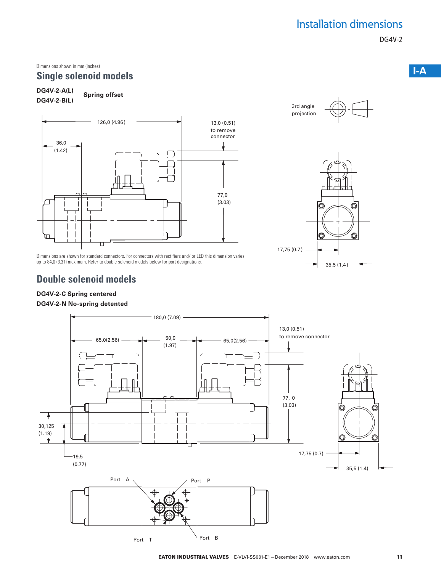# Installation dimensions

**I-A**

### Dimensions shown in mm (inches)

### **Single solenoid models**

# **DG4V-2-A(L)**





Dimensions are shown for standard connectors. For connectors with rectifiers and/ or LED this dimension varies up to 84,0 (3.31) maximum. Refer to double solenoid models below for port designations.

### **Double solenoid models**

### **DG4V-2-C Spring centered**

### **DG4V-2-N No-spring detented**



# 3rd angle projection